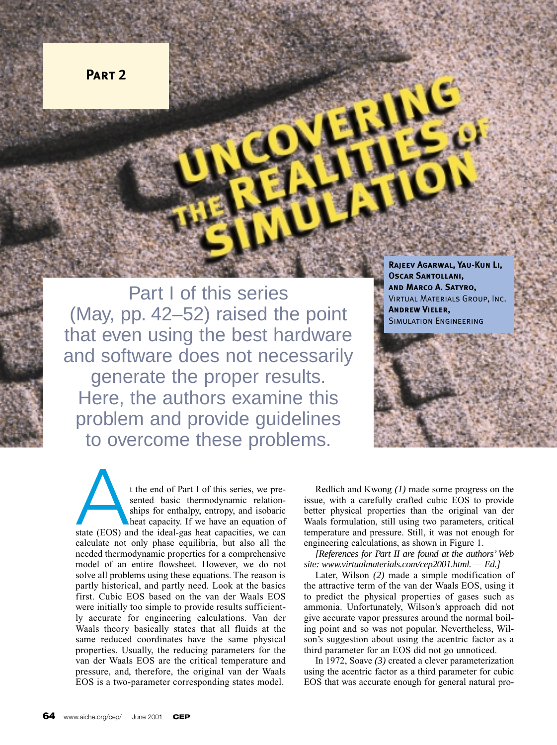

Part I of this series (May, pp. 42–52) raised the point that even using the best hardware and software does not necessarily generate the proper results. Here, the authors examine this problem and provide guidelines to overcome these problems.

**Rajeev Agarwal, Yau-Kun Li, Oscar Santollani, and Marco A. Satyro,** Virtual Materials Group, Inc. **Andrew Vieler,** Simulation Engineering

t the end of Part I of this series, we presented basic thermodynamic relationships for enthalpy, entropy, and isobaric heat capacity. If we have an equation of t the end of Part I of this series, we pre-<br>sented basic thermodynamic relation-<br>ships for enthalpy, entropy, and isobaric<br>heat capacity. If we have an equation of<br>state (EOS) and the ideal-gas heat capacities, we can<br>sele calculate not only phase equilibria, but also all the needed thermodynamic properties for a comprehensive model of an entire flowsheet. However, we do not solve all problems using these equations. The reason is partly historical, and partly need. Look at the basics first. Cubic EOS based on the van der Waals EOS were initially too simple to provide results sufficiently accurate for engineering calculations. Van der Waals theory basically states that all fluids at the same reduced coordinates have the same physical properties. Usually, the reducing parameters for the van der Waals EOS are the critical temperature and pressure, and, therefore, the original van der Waals EOS is a two-parameter corresponding states model.

Redlich and Kwong *(1)* made some progress on the issue, with a carefully crafted cubic EOS to provide better physical properties than the original van der Waals formulation, still using two parameters, critical temperature and pressure. Still, it was not enough for engineering calculations, as shown in Figure 1.

*[References for Part II are found at the authors' Web site: www.virtualmaterials.com/cep2001.html. — Ed.]*

Later, Wilson *(2)* made a simple modification of the attractive term of the van der Waals EOS, using it to predict the physical properties of gases such as ammonia. Unfortunately, Wilson's approach did not give accurate vapor pressures around the normal boiling point and so was not popular. Nevertheless, Wilson's suggestion about using the acentric factor as a third parameter for an EOS did not go unnoticed.

In 1972, Soave *(3)* created a clever parameterization using the acentric factor as a third parameter for cubic EOS that was accurate enough for general natural pro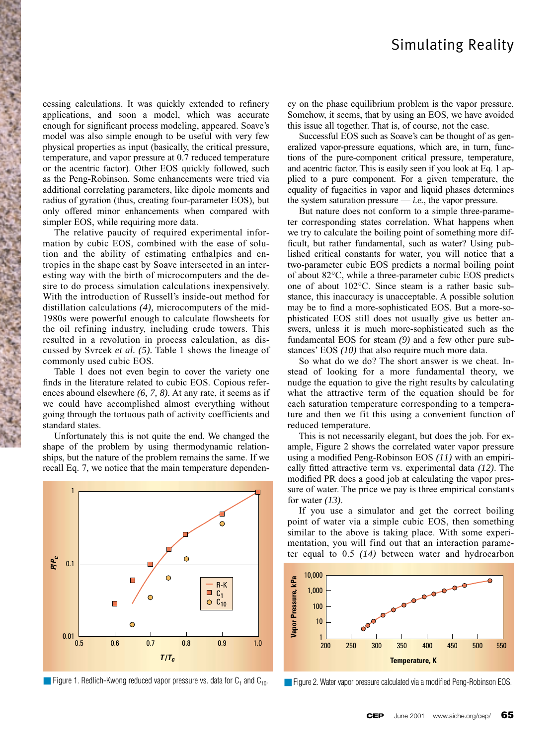cessing calculations. It was quickly extended to refinery applications, and soon a model, which was accurate enough for significant process modeling, appeared. Soave's model was also simple enough to be useful with very few physical properties as input (basically, the critical pressure, temperature, and vapor pressure at 0.7 reduced temperature or the acentric factor). Other EOS quickly followed, such as the Peng-Robinson. Some enhancements were tried via additional correlating parameters, like dipole moments and radius of gyration (thus, creating four-parameter EOS), but only offered minor enhancements when compared with simpler EOS, while requiring more data.

The relative paucity of required experimental information by cubic EOS, combined with the ease of solution and the ability of estimating enthalpies and entropies in the shape cast by Soave intersected in an interesting way with the birth of microcomputers and the desire to do process simulation calculations inexpensively. With the introduction of Russell's inside-out method for distillation calculations *(4),* microcomputers of the mid-1980s were powerful enough to calculate flowsheets for the oil refining industry, including crude towers. This resulted in a revolution in process calculation, as discussed by Svrcek *et al. (5).* Table 1 shows the lineage of commonly used cubic EOS.

Table 1 does not even begin to cover the variety one finds in the literature related to cubic EOS. Copious references abound elsewhere *(6, 7, 8).* At any rate, it seems as if we could have accomplished almost everything without going through the tortuous path of activity coefficients and standard states.

Unfortunately this is not quite the end. We changed the shape of the problem by using thermodynamic relationships, but the nature of the problem remains the same. If we recall Eq. 7, we notice that the main temperature dependen-



■ Figure 1. Redlich-Kwong reduced vapor pressure vs. data for  $C_1$  and  $C_{10}$ . ■ Figure 2. Water vapor pressure calculated via a modified Peng-Robinson EOS.

cy on the phase equilibrium problem is the vapor pressure. Somehow, it seems, that by using an EOS, we have avoided this issue all together. That is, of course, not the case.

Successful EOS such as Soave's can be thought of as generalized vapor-pressure equations, which are, in turn, functions of the pure-component critical pressure, temperature, and acentric factor. This is easily seen if you look at Eq. 1 applied to a pure component. For a given temperature, the equality of fugacities in vapor and liquid phases determines the system saturation pressure  $\frac{d}{dt}$  *i.e.*, the vapor pressure.

But nature does not conform to a simple three-parameter corresponding states correlation. What happens when we try to calculate the boiling point of something more difficult, but rather fundamental, such as water? Using published critical constants for water, you will notice that a two-parameter cubic EOS predicts a normal boiling point of about 82°C, while a three-parameter cubic EOS predicts one of about 102°C. Since steam is a rather basic substance, this inaccuracy is unacceptable. A possible solution may be to find a more-sophisticated EOS. But a more-sophisticated EOS still does not usually give us better answers, unless it is much more-sophisticated such as the fundamental EOS for steam *(9)* and a few other pure substances' EOS *(10)* that also require much more data.

So what do we do? The short answer is we cheat. Instead of looking for a more fundamental theory, we nudge the equation to give the right results by calculating what the attractive term of the equation should be for each saturation temperature corresponding to a temperature and then we fit this using a convenient function of reduced temperature.

This is not necessarily elegant, but does the job. For example, Figure 2 shows the correlated water vapor pressure using a modified Peng-Robinson EOS *(11)* with an empirically fitted attractive term vs. experimental data *(12)*. The modified PR does a good job at calculating the vapor pressure of water. The price we pay is three empirical constants for water *(13)*.

If you use a simulator and get the correct boiling point of water via a simple cubic EOS, then something similar to the above is taking place. With some experimentation, you will find out that an interaction parameter equal to 0.5 *(14)* between water and hydrocarbon

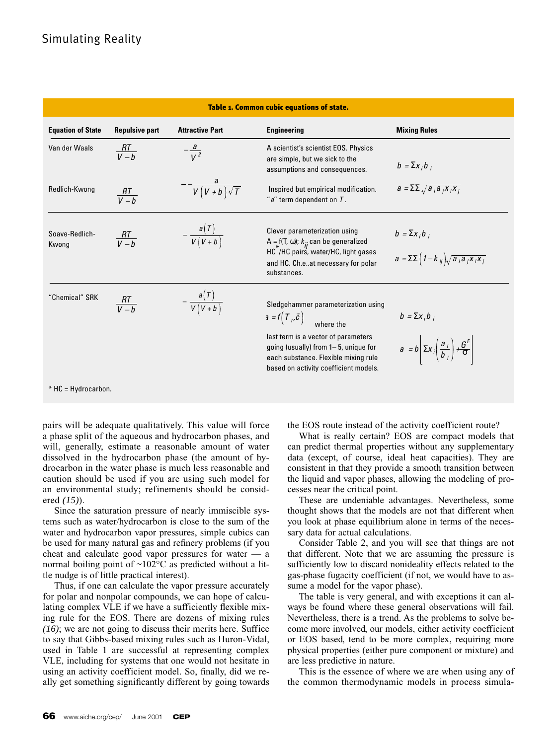| Table 1. Common cubic equations of state. |                       |                             |                                                                                                                                                                                                                                                       |                                                                                                           |  |
|-------------------------------------------|-----------------------|-----------------------------|-------------------------------------------------------------------------------------------------------------------------------------------------------------------------------------------------------------------------------------------------------|-----------------------------------------------------------------------------------------------------------|--|
| <b>Equation of State</b>                  | <b>Repulsive part</b> | <b>Attractive Part</b>      | <b>Engineering</b>                                                                                                                                                                                                                                    | <b>Mixing Rules</b>                                                                                       |  |
| Van der Waals                             | $\frac{RT}{V-h}$      | $-\frac{a}{\sqrt{2}}$       | A scientist's scientist EOS. Physics<br>are simple, but we sick to the<br>assumptions and consequences.                                                                                                                                               | $b = \sum x_i b_i$                                                                                        |  |
| Redlich-Kwong                             | $\frac{RT}{V-h}$      | $-\frac{a}{V(V+b)\sqrt{T}}$ | Inspired but empirical modification.<br>" $a$ " term dependent on $T$ .                                                                                                                                                                               | $a = \sum \sqrt{a_i a_i x_i x_i}$                                                                         |  |
| Soave-Redlich-<br>Kwong                   | $\frac{RT}{V-h}$      | $-\frac{a(T)}{V(V+b)}$      | Clever parameterization using<br>A = f(T, $\omega$ ); $k_{ii}$ can be generalized<br>HC /HC pairs, water/HC, light gases<br>and HC. Ch.eat necessary for polar<br>substances.                                                                         | $b = \sum x_i b_i$<br>$a = \sum \left(1 - k_{ij}\right) \sqrt{a_{i} a_{i} x_{i} x_{j}}$                   |  |
| "Chemical" SRK                            | $\frac{RT}{V-h}$      | $-\frac{a(T)}{V(V+b)}$      | Sledgehammer parameterization using<br>$\mathbf{r} = f(T_r, \vec{c})$<br>where the<br>last term is a vector of parameters<br>going (usually) from $1-5$ , unique for<br>each substance. Flexible mixing rule<br>based on activity coefficient models. | $b = \sum x_i b_i$<br>$a = b \left  \sum x_i \left( \frac{a_i}{b_i} \right) + \frac{G^E}{\sigma} \right $ |  |
| $*$ HC = Hydrocarbon.                     |                       |                             |                                                                                                                                                                                                                                                       |                                                                                                           |  |

pairs will be adequate qualitatively. This value will force a phase split of the aqueous and hydrocarbon phases, and will, generally, estimate a reasonable amount of water dissolved in the hydrocarbon phase (the amount of hydrocarbon in the water phase is much less reasonable and caution should be used if you are using such model for an environmental study; refinements should be considered *(15)*).

Since the saturation pressure of nearly immiscible systems such as water/hydrocarbon is close to the sum of the water and hydrocarbon vapor pressures, simple cubics can be used for many natural gas and refinery problems (if you cheat and calculate good vapor pressures for water — a normal boiling point of  $\sim 102$ °C as predicted without a little nudge is of little practical interest).

Thus, if one can calculate the vapor pressure accurately for polar and nonpolar compounds, we can hope of calculating complex VLE if we have a sufficiently flexible mixing rule for the EOS. There are dozens of mixing rules *(16)*; we are not going to discuss their merits here. Suffice to say that Gibbs-based mixing rules such as Huron-Vidal, used in Table 1 are successful at representing complex VLE, including for systems that one would not hesitate in using an activity coefficient model. So, finally, did we really get something significantly different by going towards the EOS route instead of the activity coefficient route?

What is really certain? EOS are compact models that can predict thermal properties without any supplementary data (except, of course, ideal heat capacities). They are consistent in that they provide a smooth transition between the liquid and vapor phases, allowing the modeling of processes near the critical point.

These are undeniable advantages. Nevertheless, some thought shows that the models are not that different when you look at phase equilibrium alone in terms of the necessary data for actual calculations.

Consider Table 2, and you will see that things are not that different. Note that we are assuming the pressure is sufficiently low to discard nonideality effects related to the gas-phase fugacity coefficient (if not, we would have to assume a model for the vapor phase).

The table is very general, and with exceptions it can always be found where these general observations will fail. Nevertheless, there is a trend. As the problems to solve become more involved, our models, either activity coefficient or EOS based, tend to be more complex, requiring more physical properties (either pure component or mixture) and are less predictive in nature.

This is the essence of where we are when using any of the common thermodynamic models in process simula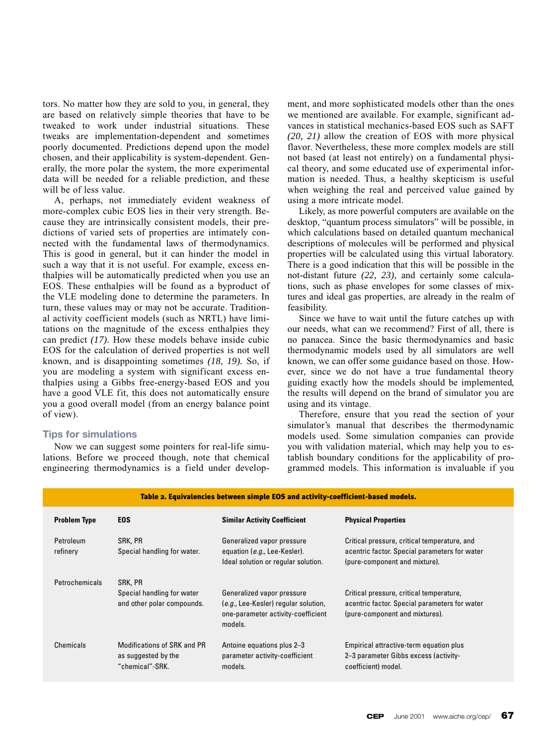tors. No matter how they are sold to you, in general, they are based on relatively simple theories that have to be tweaked to work under industrial situations. These tweaks are implementation-dependent and sometimes poorly documented. Predictions depend upon the model chosen, and their applicability is system-dependent. Generally, the more polar the system, the more experimental data will be needed for a reliable prediction, and these will be of less value.

A, perhaps, not immediately evident weakness of more-complex cubic EOS lies in their very strength. Because they are intrinsically consistent models, their predictions of varied sets of properties are intimately connected with the fundamental laws of thermodynamics. This is good in general, but it can hinder the model in such a way that it is not useful. For example, excess enthalpies will be automatically predicted when you use an EOS. These enthalpies will be found as a byproduct of the VLE modeling done to determine the parameters. In turn, these values may or may not be accurate. Traditional activity coefficient models (such as NRTL) have limitations on the magnitude of the excess enthalpies they can predict *(17).* How these models behave inside cubic EOS for the calculation of derived properties is not well known, and is disappointing sometimes *(18, 19).* So, if you are modeling a system with significant excess enthalpies using a Gibbs free-energy-based EOS and you have a good VLE fit, this does not automatically ensure you a good overall model (from an energy balance point of view).

## **Tips for simulations**

Now we can suggest some pointers for real-life simulations. Before we proceed though, note that chemical engineering thermodynamics is a field under development, and more sophisticated models other than the ones we mentioned are available. For example, significant advances in statistical mechanics-based EOS such as SAFT *(20, 21)* allow the creation of EOS with more physical flavor. Nevertheless, these more complex models are still not based (at least not entirely) on a fundamental physical theory, and some educated use of experimental information is needed. Thus, a healthy skepticism is useful when weighing the real and perceived value gained by using a more intricate model.

Likely, as more powerful computers are available on the desktop, "quantum process simulators" will be possible, in which calculations based on detailed quantum mechanical descriptions of molecules will be performed and physical properties will be calculated using this virtual laboratory. There is a good indication that this will be possible in the not-distant future *(22, 23),* and certainly some calculations, such as phase envelopes for some classes of mixtures and ideal gas properties, are already in the realm of feasibility.

Since we have to wait until the future catches up with our needs, what can we recommend? First of all, there is no panacea. Since the basic thermodynamics and basic thermodynamic models used by all simulators are well known, we can offer some guidance based on those. However, since we do not have a true fundamental theory guiding exactly how the models should be implemented, the results will depend on the brand of simulator you are using and its vintage.

Therefore, ensure that you read the section of your simulator's manual that describes the thermodynamic models used. Some simulation companies can provide you with validation material, which may help you to establish boundary conditions for the applicability of programmed models. This information is invaluable if you

| Table 2. Equivalencies between simple EOS and activity-coefficient-based models. |                                                                       |                                                                                                                     |                                                                                                                                |  |  |  |
|----------------------------------------------------------------------------------|-----------------------------------------------------------------------|---------------------------------------------------------------------------------------------------------------------|--------------------------------------------------------------------------------------------------------------------------------|--|--|--|
| <b>Problem Type</b>                                                              | <b>EOS</b>                                                            | <b>Similar Activity Coefficient</b>                                                                                 | <b>Physical Properties</b>                                                                                                     |  |  |  |
| Petroleum<br>refinery                                                            | SRK, PR<br>Special handling for water.                                | Generalized vapor pressure<br>equation (e.g., Lee-Kesler).<br>Ideal solution or regular solution.                   | Critical pressure, critical temperature, and<br>acentric factor. Special parameters for water<br>(pure-component and mixture). |  |  |  |
| Petrochemicals                                                                   | SRK, PR<br>Special handling for water<br>and other polar compounds.   | Generalized vapor pressure<br>(e.g., Lee-Kesler) regular solution,<br>one-parameter activity-coefficient<br>models. | Critical pressure, critical temperature,<br>acentric factor. Special parameters for water<br>(pure-component and mixtures).    |  |  |  |
| Chemicals                                                                        | Modifications of SRK and PR<br>as suggested by the<br>"chemical"-SRK. | Antoine equations plus 2-3<br>parameter activity-coefficient<br>models.                                             | Empirical attractive-term equation plus<br>2-3 parameter Gibbs excess (activity-<br>coefficient) model.                        |  |  |  |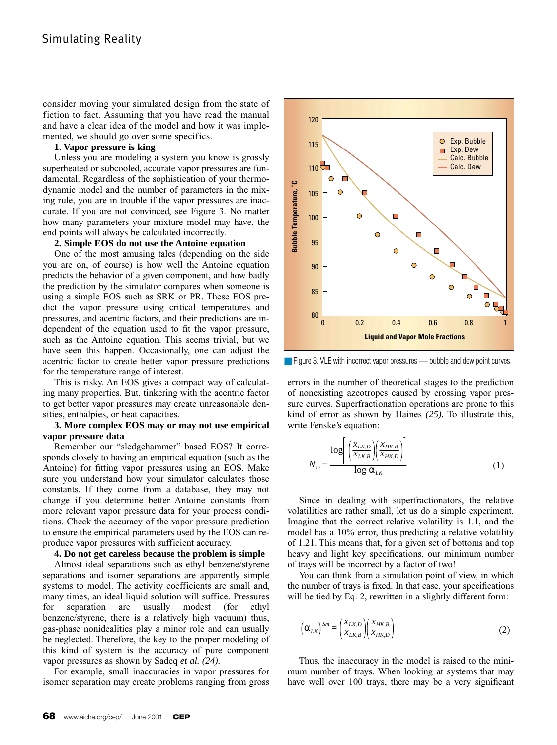consider moving your simulated design from the state of fiction to fact. Assuming that you have read the manual and have a clear idea of the model and how it was implemented, we should go over some specifics.

## **1. Vapor pressure is king**

Unless you are modeling a system you know is grossly superheated or subcooled, accurate vapor pressures are fundamental. Regardless of the sophistication of your thermodynamic model and the number of parameters in the mixing rule, you are in trouble if the vapor pressures are inaccurate. If you are not convinced, see Figure 3. No matter how many parameters your mixture model may have, the end points will always be calculated incorrectly.

#### **2. Simple EOS do not use the Antoine equation**

One of the most amusing tales (depending on the side you are on, of course) is how well the Antoine equation predicts the behavior of a given component, and how badly the prediction by the simulator compares when someone is using a simple EOS such as SRK or PR. These EOS predict the vapor pressure using critical temperatures and pressures, and acentric factors, and their predictions are independent of the equation used to fit the vapor pressure, such as the Antoine equation. This seems trivial, but we have seen this happen. Occasionally, one can adjust the acentric factor to create better vapor pressure predictions for the temperature range of interest.

This is risky. An EOS gives a compact way of calculating many properties. But, tinkering with the acentric factor to get better vapor pressures may create unreasonable densities, enthalpies, or heat capacities.

## **3. More complex EOS may or may not use empirical vapor pressure data**

Remember our "sledgehammer" based EOS? It corresponds closely to having an empirical equation (such as the Antoine) for fitting vapor pressures using an EOS. Make sure you understand how your simulator calculates those constants. If they come from a database, they may not change if you determine better Antoine constants from more relevant vapor pressure data for your process conditions. Check the accuracy of the vapor pressure prediction to ensure the empirical parameters used by the EOS can reproduce vapor pressures with sufficient accuracy.

#### **4. Do not get careless because the problem is simple**

Almost ideal separations such as ethyl benzene/styrene separations and isomer separations are apparently simple systems to model. The activity coefficients are small and, many times, an ideal liquid solution will suffice. Pressures for separation are usually modest (for ethyl benzene/styrene, there is a relatively high vacuum) thus, gas-phase nonidealities play a minor role and can usually be neglected. Therefore, the key to the proper modeling of this kind of system is the accuracy of pure component vapor pressures as shown by Sadeq *et al. (24).*

For example, small inaccuracies in vapor pressures for isomer separation may create problems ranging from gross



■ Figure 3. VLE with incorrect vapor pressures — bubble and dew point curves.

errors in the number of theoretical stages to the prediction of nonexisting azeotropes caused by crossing vapor pressure curves. Superfractionation operations are prone to this kind of error as shown by Haines *(25).* To illustrate this, write Fenske's equation:

$$
N_m = \frac{\log \left[ \left( \frac{X_{LK,D}}{X_{LK,B}} \right) \left( \frac{X_{HK,B}}{X_{HK,D}} \right) \right]}{\log \alpha_{LK}}
$$
(1)

Since in dealing with superfractionators, the relative volatilities are rather small, let us do a simple experiment. Imagine that the correct relative volatility is 1.1, and the model has a 10% error, thus predicting a relative volatility of 1.21. This means that, for a given set of bottoms and top heavy and light key specifications, our minimum number of trays will be incorrect by a factor of two!

You can think from a simulation point of view, in which the number of trays is fixed. In that case, your specifications will be tied by Eq. 2, rewritten in a slightly different form:

$$
\left(\alpha_{LK}\right)^{Sm} = \left(\frac{x_{LK,D}}{x_{LK,B}}\right) \left(\frac{x_{HK,B}}{x_{HK,D}}\right)
$$
\n(2)

Thus, the inaccuracy in the model is raised to the minimum number of trays. When looking at systems that may have well over 100 trays, there may be a very significant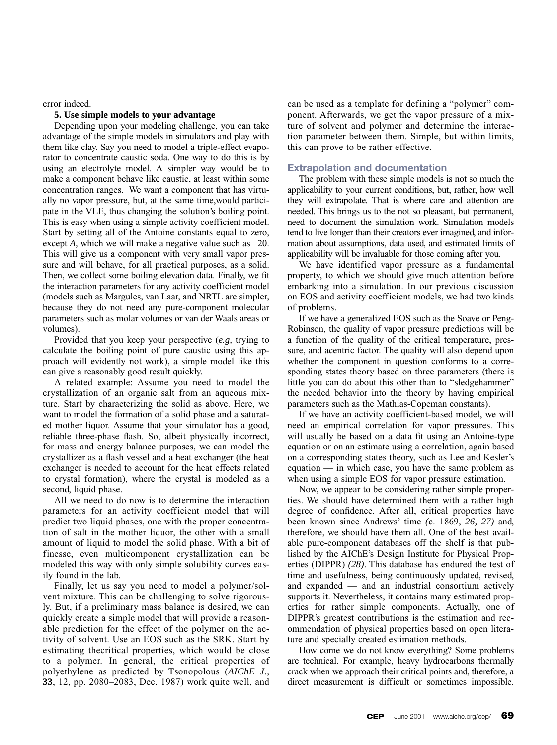error indeed.

#### **5. Use simple models to your advantage**

Depending upon your modeling challenge, you can take advantage of the simple models in simulators and play with them like clay. Say you need to model a triple-effect evaporator to concentrate caustic soda. One way to do this is by using an electrolyte model. A simpler way would be to make a component behave like caustic, at least within some concentration ranges. We want a component that has virtually no vapor pressure, but, at the same time,would participate in the VLE, thus changing the solution's boiling point. This is easy when using a simple activity coefficient model. Start by setting all of the Antoine constants equal to zero, except *A*, which we will make a negative value such as –20. This will give us a component with very small vapor pressure and will behave, for all practical purposes, as a solid. Then, we collect some boiling elevation data. Finally, we fit the interaction parameters for any activity coefficient model (models such as Margules, van Laar, and NRTL are simpler, because they do not need any pure-component molecular parameters such as molar volumes or van der Waals areas or volumes).

Provided that you keep your perspective (*e.g,* trying to calculate the boiling point of pure caustic using this approach will evidently not work), a simple model like this can give a reasonably good result quickly.

A related example: Assume you need to model the crystallization of an organic salt from an aqueous mixture. Start by characterizing the solid as above. Here, we want to model the formation of a solid phase and a saturated mother liquor. Assume that your simulator has a good, reliable three-phase flash. So, albeit physically incorrect, for mass and energy balance purposes, we can model the crystallizer as a flash vessel and a heat exchanger (the heat exchanger is needed to account for the heat effects related to crystal formation), where the crystal is modeled as a second, liquid phase.

All we need to do now is to determine the interaction parameters for an activity coefficient model that will predict two liquid phases, one with the proper concentration of salt in the mother liquor, the other with a small amount of liquid to model the solid phase. With a bit of finesse, even multicomponent crystallization can be modeled this way with only simple solubility curves easily found in the lab.

Finally, let us say you need to model a polymer/solvent mixture. This can be challenging to solve rigorously. But, if a preliminary mass balance is desired, we can quickly create a simple model that will provide a reasonable prediction for the effect of the polymer on the activity of solvent. Use an EOS such as the SRK. Start by estimating thecritical properties, which would be close to a polymer. In general, the critical properties of polyethylene as predicted by Tsonopolous (*AIChE J*., **33**, 12, pp. 2080–2083, Dec. 1987) work quite well, and

can be used as a template for defining a "polymer" component. Afterwards, we get the vapor pressure of a mixture of solvent and polymer and determine the interaction parameter between them. Simple, but within limits, this can prove to be rather effective.

### **Extrapolation and documentation**

The problem with these simple models is not so much the applicability to your current conditions, but, rather, how well they will extrapolate*.* That is where care and attention are needed. This brings us to the not so pleasant, but permanent, need to document the simulation work. Simulation models tend to live longer than their creators ever imagined, and information about assumptions, data used, and estimated limits of applicability will be invaluable for those coming after you.

We have identified vapor pressure as a fundamental property, to which we should give much attention before embarking into a simulation. In our previous discussion on EOS and activity coefficient models, we had two kinds of problems.

If we have a generalized EOS such as the Soave or Peng-Robinson, the quality of vapor pressure predictions will be a function of the quality of the critical temperature, pressure, and acentric factor. The quality will also depend upon whether the component in question conforms to a corresponding states theory based on three parameters (there is little you can do about this other than to "sledgehammer" the needed behavior into the theory by having empirical parameters such as the Mathias-Copeman constants).

If we have an activity coefficient-based model, we will need an empirical correlation for vapor pressures. This will usually be based on a data fit using an Antoine-type equation or on an estimate using a correlation, again based on a corresponding states theory, such as Lee and Kesler's equation — in which case, you have the same problem as when using a simple EOS for vapor pressure estimation.

Now, we appear to be considering rather simple properties. We should have determined them with a rather high degree of confidence. After all, critical properties have been known since Andrews' time *(*c. 1869, *26, 27)* and, therefore, we should have them all. One of the best available pure-component databases off the shelf is that published by the AIChE's Design Institute for Physical Properties (DIPPR) *(28)*. This database has endured the test of time and usefulness, being continuously updated, revised, and expanded — and an industrial consortium actively supports it. Nevertheless, it contains many estimated properties for rather simple components. Actually, one of DIPPR's greatest contributions is the estimation and recommendation of physical properties based on open literature and specially created estimation methods.

How come we do not know everything? Some problems are technical. For example, heavy hydrocarbons thermally crack when we approach their critical points and, therefore, a direct measurement is difficult or sometimes impossible.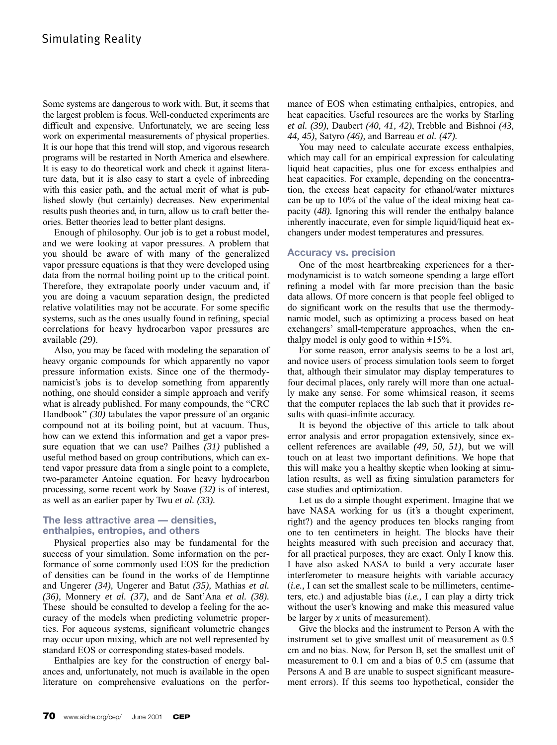Some systems are dangerous to work with. But, it seems that the largest problem is focus. Well-conducted experiments are difficult and expensive. Unfortunately, we are seeing less work on experimental measurements of physical properties. It is our hope that this trend will stop, and vigorous research programs will be restarted in North America and elsewhere. It is easy to do theoretical work and check it against literature data, but it is also easy to start a cycle of inbreeding with this easier path, and the actual merit of what is published slowly (but certainly) decreases. New experimental results push theories and, in turn, allow us to craft better theories. Better theories lead to better plant designs.

Enough of philosophy. Our job is to get a robust model, and we were looking at vapor pressures. A problem that you should be aware of with many of the generalized vapor pressure equations is that they were developed using data from the normal boiling point up to the critical point. Therefore, they extrapolate poorly under vacuum and, if you are doing a vacuum separation design, the predicted relative volatilities may not be accurate. For some specific systems, such as the ones usually found in refining, special correlations for heavy hydrocarbon vapor pressures are available *(29)*.

Also, you may be faced with modeling the separation of heavy organic compounds for which apparently no vapor pressure information exists. Since one of the thermodynamicist's jobs is to develop something from apparently nothing, one should consider a simple approach and verify what is already published. For many compounds, the "CRC Handbook" *(30)* tabulates the vapor pressure of an organic compound not at its boiling point, but at vacuum. Thus, how can we extend this information and get a vapor pressure equation that we can use? Pailhes *(31)* published a useful method based on group contributions, which can extend vapor pressure data from a single point to a complete, two-parameter Antoine equation. For heavy hydrocarbon processing, some recent work by Soave *(32)* is of interest, as well as an earlier paper by Twu *et al. (33).*

## **The less attractive area — densities, enthalpies, entropies, and others**

Physical properties also may be fundamental for the success of your simulation. Some information on the performance of some commonly used EOS for the prediction of densities can be found in the works of de Hemptinne and Ungerer *(34),* Ungerer and Batut *(35),* Mathias *et al. (36),* Monnery *et al. (37)*, and de Sant'Ana *et al. (38).* These should be consulted to develop a feeling for the accuracy of the models when predicting volumetric properties. For aqueous systems, significant volumetric changes may occur upon mixing, which are not well represented by standard EOS or corresponding states-based models.

Enthalpies are key for the construction of energy balances and, unfortunately, not much is available in the open literature on comprehensive evaluations on the performance of EOS when estimating enthalpies, entropies, and heat capacities. Useful resources are the works by Starling *et al. (39)*, Daubert *(40, 41, 42)*, Trebble and Bishnoi *(43, 44, 45),* Satyro *(46),* and Barreau *et al. (47).*

You may need to calculate accurate excess enthalpies, which may call for an empirical expression for calculating liquid heat capacities, plus one for excess enthalpies and heat capacities. For example, depending on the concentration, the excess heat capacity for ethanol/water mixtures can be up to 10% of the value of the ideal mixing heat capacity (*48).* Ignoring this will render the enthalpy balance inherently inaccurate, even for simple liquid/liquid heat exchangers under modest temperatures and pressures.

#### **Accuracy vs. precision**

One of the most heartbreaking experiences for a thermodynamicist is to watch someone spending a large effort refining a model with far more precision than the basic data allows. Of more concern is that people feel obliged to do significant work on the results that use the thermodynamic model, such as optimizing a process based on heat exchangers' small-temperature approaches, when the enthalpy model is only good to within  $\pm 15\%$ .

For some reason, error analysis seems to be a lost art, and novice users of process simulation tools seem to forget that, although their simulator may display temperatures to four decimal places, only rarely will more than one actually make any sense. For some whimsical reason, it seems that the computer replaces the lab such that it provides results with quasi-infinite accuracy.

It is beyond the objective of this article to talk about error analysis and error propagation extensively, since excellent references are available *(49, 50, 51),* but we will touch on at least two important definitions. We hope that this will make you a healthy skeptic when looking at simulation results, as well as fixing simulation parameters for case studies and optimization.

Let us do a simple thought experiment. Imagine that we have NASA working for us (it's a thought experiment, right?) and the agency produces ten blocks ranging from one to ten centimeters in height. The blocks have their heights measured with such precision and accuracy that, for all practical purposes, they are exact. Only I know this. I have also asked NASA to build a very accurate laser interferometer to measure heights with variable accuracy (*i.e.,* I can set the smallest scale to be millimeters, centimeters, etc.) and adjustable bias (*i.e.,* I can play a dirty trick without the user's knowing and make this measured value be larger by *x* units of measurement).

Give the blocks and the instrument to Person A with the instrument set to give smallest unit of measurement as 0.5 cm and no bias. Now, for Person B, set the smallest unit of measurement to 0.1 cm and a bias of 0.5 cm (assume that Persons A and B are unable to suspect significant measurement errors). If this seems too hypothetical, consider the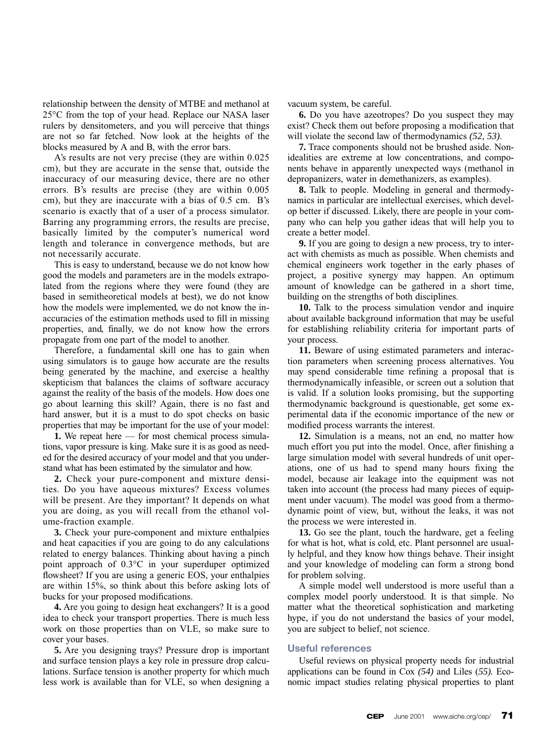relationship between the density of MTBE and methanol at 25°C from the top of your head. Replace our NASA laser rulers by densitometers, and you will perceive that things are not so far fetched. Now look at the heights of the blocks measured by A and B, with the error bars.

A's results are not very precise (they are within 0.025 cm), but they are accurate in the sense that, outside the inaccuracy of our measuring device, there are no other errors. B's results are precise (they are within 0.005 cm), but they are inaccurate with a bias of 0.5 cm. B's scenario is exactly that of a user of a process simulator. Barring any programming errors, the results are precise, basically limited by the computer's numerical word length and tolerance in convergence methods, but are not necessarily accurate.

This is easy to understand, because we do not know how good the models and parameters are in the models extrapolated from the regions where they were found (they are based in semitheoretical models at best), we do not know how the models were implemented, we do not know the inaccuracies of the estimation methods used to fill in missing properties, and, finally, we do not know how the errors propagate from one part of the model to another.

Therefore, a fundamental skill one has to gain when using simulators is to gauge how accurate are the results being generated by the machine, and exercise a healthy skepticism that balances the claims of software accuracy against the reality of the basis of the models. How does one go about learning this skill? Again, there is no fast and hard answer, but it is a must to do spot checks on basic properties that may be important for the use of your model:

**1.** We repeat here — for most chemical process simulations, vapor pressure is king. Make sure it is as good as needed for the desired accuracy of your model and that you understand what has been estimated by the simulator and how.

**2.** Check your pure-component and mixture densities. Do you have aqueous mixtures? Excess volumes will be present. Are they important? It depends on what you are doing, as you will recall from the ethanol volume-fraction example.

**3.** Check your pure-component and mixture enthalpies and heat capacities if you are going to do any calculations related to energy balances. Thinking about having a pinch point approach of 0.3°C in your superduper optimized flowsheet? If you are using a generic EOS, your enthalpies are within 15%, so think about this before asking lots of bucks for your proposed modifications.

**4.** Are you going to design heat exchangers? It is a good idea to check your transport properties. There is much less work on those properties than on VLE, so make sure to cover your bases.

**5.** Are you designing trays? Pressure drop is important and surface tension plays a key role in pressure drop calculations. Surface tension is another property for which much less work is available than for VLE, so when designing a vacuum system, be careful.

**6.** Do you have azeotropes? Do you suspect they may exist? Check them out before proposing a modification that will violate the second law of thermodynamics *(52, 53)*.

**7.** Trace components should not be brushed aside. Nonidealities are extreme at low concentrations, and components behave in apparently unexpected ways (methanol in depropanizers, water in demethanizers, as examples).

**8.** Talk to people. Modeling in general and thermodynamics in particular are intellectual exercises, which develop better if discussed. Likely, there are people in your company who can help you gather ideas that will help you to create a better model.

**9.** If you are going to design a new process, try to interact with chemists as much as possible. When chemists and chemical engineers work together in the early phases of project, a positive synergy may happen. An optimum amount of knowledge can be gathered in a short time, building on the strengths of both disciplines.

**10.** Talk to the process simulation vendor and inquire about available background information that may be useful for establishing reliability criteria for important parts of your process.

**11.** Beware of using estimated parameters and interaction parameters when screening process alternatives. You may spend considerable time refining a proposal that is thermodynamically infeasible, or screen out a solution that is valid. If a solution looks promising, but the supporting thermodynamic background is questionable, get some experimental data if the economic importance of the new or modified process warrants the interest.

**12.** Simulation is a means, not an end, no matter how much effort you put into the model. Once, after finishing a large simulation model with several hundreds of unit operations, one of us had to spend many hours fixing the model, because air leakage into the equipment was not taken into account (the process had many pieces of equipment under vacuum). The model was good from a thermodynamic point of view, but, without the leaks, it was not the process we were interested in.

**13.** Go see the plant, touch the hardware, get a feeling for what is hot, what is cold, etc. Plant personnel are usually helpful, and they know how things behave. Their insight and your knowledge of modeling can form a strong bond for problem solving.

A simple model well understood is more useful than a complex model poorly understood. It is that simple. No matter what the theoretical sophistication and marketing hype, if you do not understand the basics of your model, you are subject to belief, not science.

### **Useful references**

Useful reviews on physical property needs for industrial applications can be found in Cox *(54)* and Liles (*55).* Economic impact studies relating physical properties to plant